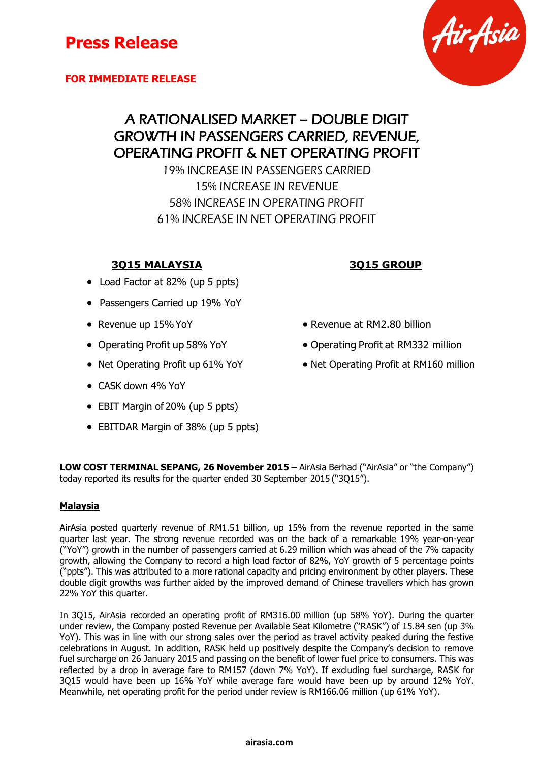**FOR IMMEDIATE RELEASE**

## A RATIONALISED MARKET – DOUBLE DIGIT GROWTH IN PASSENGERS CARRIED, REVENUE, OPERATING PROFIT & NET OPERATING PROFIT

19% INCREASE IN PASSENGERS CARRIED 15% INCREASE IN REVENUE 58% INCREASE IN OPERATING PROFIT 61% INCREASE IN NET OPERATING PROFIT

## **3Q15 MALAYSIA 3Q15 GROUP**

- Load Factor at 82% (up 5 ppts)
- Passengers Carried up 19% YoY
- 
- 
- 
- CASK down 4% YoY
- EBIT Margin of 20% (up 5 ppts)
- EBITDAR Margin of 38% (up 5 ppts)
- Revenue up 15% YoY **CONFIDENTIAL CONTROL Revenue at RM2.80 billion**
- Operating Profit up 58% YoY **•** Operating Profit at RM332 million
- Net Operating Profit up 61% YoY Net Operating Profit at RM160 million

**LOW COST TERMINAL SEPANG, 26 November 2015 –** AirAsia Berhad ("AirAsia" or "the Company") today reported its results for the quarter ended 30 September 2015 ("3Q15").

### **Malaysia**

AirAsia posted quarterly revenue of RM1.51 billion, up 15% from the revenue reported in the same quarter last year. The strong revenue recorded was on the back of a remarkable 19% year-on-year ("YoY") growth in the number of passengers carried at 6.29 million which was ahead of the 7% capacity growth, allowing the Company to record a high load factor of 82%, YoY growth of 5 percentage points ("ppts"). This was attributed to a more rational capacity and pricing environment by other players. These double digit growths was further aided by the improved demand of Chinese travellers which has grown 22% YoY this quarter.

In 3Q15, AirAsia recorded an operating profit of RM316.00 million (up 58% YoY). During the quarter under review, the Company posted Revenue per Available Seat Kilometre ("RASK") of 15.84 sen (up 3% YoY). This was in line with our strong sales over the period as travel activity peaked during the festive celebrations in August. In addition, RASK held up positively despite the Company's decision to remove fuel surcharge on 26 January 2015 and passing on the benefit of lower fuel price to consumers. This was reflected by a drop in average fare to RM157 (down 7% YoY). If excluding fuel surcharge, RASK for 3Q15 would have been up 16% YoY while average fare would have been up by around 12% YoY. Meanwhile, net operating profit for the period under review is RM166.06 million (up 61% YoY).

# Air Asia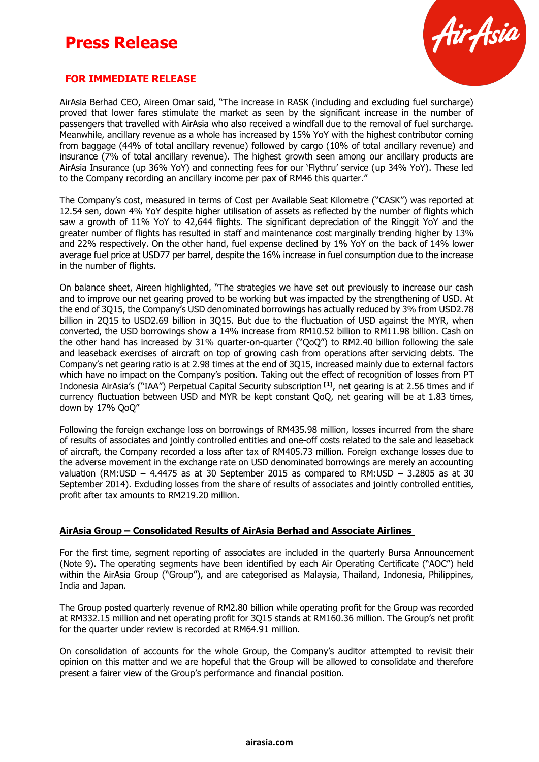

#### **FOR IMMEDIATE RELEASE**

AirAsia Berhad CEO, Aireen Omar said, "The increase in RASK (including and excluding fuel surcharge) proved that lower fares stimulate the market as seen by the significant increase in the number of passengers that travelled with AirAsia who also received a windfall due to the removal of fuel surcharge. Meanwhile, ancillary revenue as a whole has increased by 15% YoY with the highest contributor coming from baggage (44% of total ancillary revenue) followed by cargo (10% of total ancillary revenue) and insurance (7% of total ancillary revenue). The highest growth seen among our ancillary products are AirAsia Insurance (up 36% YoY) and connecting fees for our 'Flythru' service (up 34% YoY). These led to the Company recording an ancillary income per pax of RM46 this quarter."

The Company's cost, measured in terms of Cost per Available Seat Kilometre ("CASK") was reported at 12.54 sen, down 4% YoY despite higher utilisation of assets as reflected by the number of flights which saw a growth of 11% YoY to 42,644 flights. The significant depreciation of the Ringgit YoY and the greater number of flights has resulted in staff and maintenance cost marginally trending higher by 13% and 22% respectively. On the other hand, fuel expense declined by 1% YoY on the back of 14% lower average fuel price at USD77 per barrel, despite the 16% increase in fuel consumption due to the increase in the number of flights.

On balance sheet, Aireen highlighted, "The strategies we have set out previously to increase our cash and to improve our net gearing proved to be working but was impacted by the strengthening of USD. At the end of 3Q15, the Company's USD denominated borrowings has actually reduced by 3% from USD2.78 billion in 2Q15 to USD2.69 billion in 3Q15. But due to the fluctuation of USD against the MYR, when converted, the USD borrowings show a 14% increase from RM10.52 billion to RM11.98 billion. Cash on the other hand has increased by 31% quarter-on-quarter ("OoO") to RM2.40 billion following the sale and leaseback exercises of aircraft on top of growing cash from operations after servicing debts. The Company's net gearing ratio is at 2.98 times at the end of 3Q15, increased mainly due to external factors which have no impact on the Company's position. Taking out the effect of recognition of losses from PT Indonesia AirAsia's ("IAA") Perpetual Capital Security subscription **[1]**, net gearing is at 2.56 times and if currency fluctuation between USD and MYR be kept constant QoQ, net gearing will be at 1.83 times, down by 17% QoQ"

Following the foreign exchange loss on borrowings of RM435.98 million, losses incurred from the share of results of associates and jointly controlled entities and one-off costs related to the sale and leaseback of aircraft, the Company recorded a loss after tax of RM405.73 million. Foreign exchange losses due to the adverse movement in the exchange rate on USD denominated borrowings are merely an accounting valuation (RM:USD – 4.4475 as at 30 September 2015 as compared to RM:USD – 3.2805 as at 30 September 2014). Excluding losses from the share of results of associates and jointly controlled entities, profit after tax amounts to RM219.20 million.

#### **AirAsia Group – Consolidated Results of AirAsia Berhad and Associate Airlines**

For the first time, segment reporting of associates are included in the quarterly Bursa Announcement (Note 9). The operating segments have been identified by each Air Operating Certificate ("AOC") held within the AirAsia Group ("Group"), and are categorised as Malaysia, Thailand, Indonesia, Philippines, India and Japan.

The Group posted quarterly revenue of RM2.80 billion while operating profit for the Group was recorded at RM332.15 million and net operating profit for 3Q15 stands at RM160.36 million. The Group's net profit for the quarter under review is recorded at RM64.91 million.

On consolidation of accounts for the whole Group, the Company's auditor attempted to revisit their opinion on this matter and we are hopeful that the Group will be allowed to consolidate and therefore present a fairer view of the Group's performance and financial position.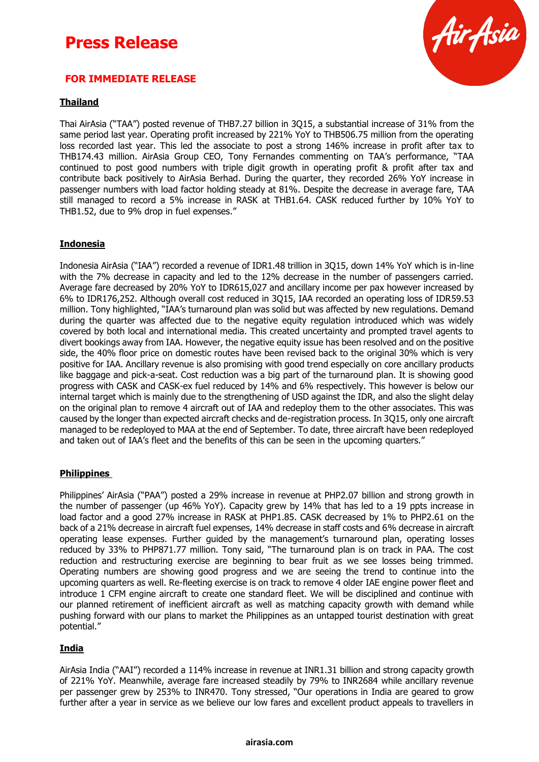

#### **FOR IMMEDIATE RELEASE**

#### **Thailand**

Thai AirAsia ("TAA") posted revenue of THB7.27 billion in 3Q15, a substantial increase of 31% from the same period last year. Operating profit increased by 221% YoY to THB506.75 million from the operating loss recorded last year. This led the associate to post a strong 146% increase in profit after tax to THB174.43 million. AirAsia Group CEO, Tony Fernandes commenting on TAA's performance, "TAA continued to post good numbers with triple digit growth in operating profit & profit after tax and contribute back positively to AirAsia Berhad. During the quarter, they recorded 26% YoY increase in passenger numbers with load factor holding steady at 81%. Despite the decrease in average fare, TAA still managed to record a 5% increase in RASK at THB1.64. CASK reduced further by 10% YoY to THB1.52, due to 9% drop in fuel expenses."

#### **Indonesia**

Indonesia AirAsia ("IAA") recorded a revenue of IDR1.48 trillion in 3Q15, down 14% YoY which is in-line with the 7% decrease in capacity and led to the 12% decrease in the number of passengers carried. Average fare decreased by 20% YoY to IDR615,027 and ancillary income per pax however increased by 6% to IDR176,252. Although overall cost reduced in 3Q15, IAA recorded an operating loss of IDR59.53 million. Tony highlighted, "IAA's turnaround plan was solid but was affected by new regulations. Demand during the quarter was affected due to the negative equity regulation introduced which was widely covered by both local and international media. This created uncertainty and prompted travel agents to divert bookings away from IAA. However, the negative equity issue has been resolved and on the positive side, the 40% floor price on domestic routes have been revised back to the original 30% which is very positive for IAA. Ancillary revenue is also promising with good trend especially on core ancillary products like baggage and pick-a-seat. Cost reduction was a big part of the turnaround plan. It is showing good progress with CASK and CASK-ex fuel reduced by 14% and 6% respectively. This however is below our internal target which is mainly due to the strengthening of USD against the IDR, and also the slight delay on the original plan to remove 4 aircraft out of IAA and redeploy them to the other associates. This was caused by the longer than expected aircraft checks and de-registration process. In 3Q15, only one aircraft managed to be redeployed to MAA at the end of September. To date, three aircraft have been redeployed and taken out of IAA's fleet and the benefits of this can be seen in the upcoming quarters."

#### **Philippines**

Philippines' AirAsia ("PAA") posted a 29% increase in revenue at PHP2.07 billion and strong growth in the number of passenger (up 46% YoY). Capacity grew by 14% that has led to a 19 ppts increase in load factor and a good 27% increase in RASK at PHP1.85. CASK decreased by 1% to PHP2.61 on the back of a 21% decrease in aircraft fuel expenses, 14% decrease in staff costs and 6% decrease in aircraft operating lease expenses. Further guided by the management's turnaround plan, operating losses reduced by 33% to PHP871.77 million. Tony said, "The turnaround plan is on track in PAA. The cost reduction and restructuring exercise are beginning to bear fruit as we see losses being trimmed. Operating numbers are showing good progress and we are seeing the trend to continue into the upcoming quarters as well. Re-fleeting exercise is on track to remove 4 older IAE engine power fleet and introduce 1 CFM engine aircraft to create one standard fleet. We will be disciplined and continue with our planned retirement of inefficient aircraft as well as matching capacity growth with demand while pushing forward with our plans to market the Philippines as an untapped tourist destination with great potential."

#### **India**

AirAsia India ("AAI") recorded a 114% increase in revenue at INR1.31 billion and strong capacity growth of 221% YoY. Meanwhile, average fare increased steadily by 79% to INR2684 while ancillary revenue per passenger grew by 253% to INR470. Tony stressed, "Our operations in India are geared to grow further after a year in service as we believe our low fares and excellent product appeals to travellers in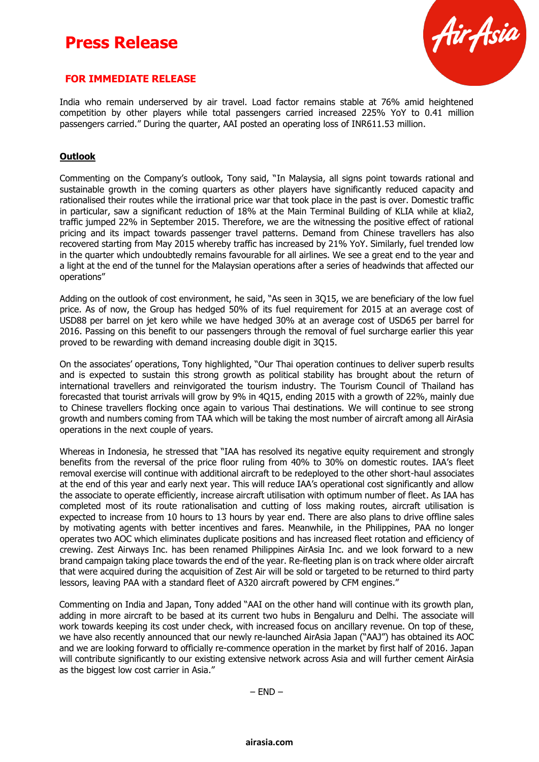

#### **FOR IMMEDIATE RELEASE**

India who remain underserved by air travel. Load factor remains stable at 76% amid heightened competition by other players while total passengers carried increased 225% YoY to 0.41 million passengers carried." During the quarter, AAI posted an operating loss of INR611.53 million.

#### **Outlook**

Commenting on the Company's outlook, Tony said, "In Malaysia, all signs point towards rational and sustainable growth in the coming quarters as other players have significantly reduced capacity and rationalised their routes while the irrational price war that took place in the past is over. Domestic traffic in particular, saw a significant reduction of 18% at the Main Terminal Building of KLIA while at klia2, traffic jumped 22% in September 2015. Therefore, we are the witnessing the positive effect of rational pricing and its impact towards passenger travel patterns. Demand from Chinese travellers has also recovered starting from May 2015 whereby traffic has increased by 21% YoY. Similarly, fuel trended low in the quarter which undoubtedly remains favourable for all airlines. We see a great end to the year and a light at the end of the tunnel for the Malaysian operations after a series of headwinds that affected our operations"

Adding on the outlook of cost environment, he said, "As seen in 3Q15, we are beneficiary of the low fuel price. As of now, the Group has hedged 50% of its fuel requirement for 2015 at an average cost of USD88 per barrel on jet kero while we have hedged 30% at an average cost of USD65 per barrel for 2016. Passing on this benefit to our passengers through the removal of fuel surcharge earlier this year proved to be rewarding with demand increasing double digit in 3Q15.

On the associates' operations, Tony highlighted, "Our Thai operation continues to deliver superb results and is expected to sustain this strong growth as political stability has brought about the return of international travellers and reinvigorated the tourism industry. The Tourism Council of Thailand has forecasted that tourist arrivals will grow by 9% in 4Q15, ending 2015 with a growth of 22%, mainly due to Chinese travellers flocking once again to various Thai destinations. We will continue to see strong growth and numbers coming from TAA which will be taking the most number of aircraft among all AirAsia operations in the next couple of years.

Whereas in Indonesia, he stressed that "IAA has resolved its negative equity requirement and strongly benefits from the reversal of the price floor ruling from 40% to 30% on domestic routes. IAA's fleet removal exercise will continue with additional aircraft to be redeployed to the other short-haul associates at the end of this year and early next year. This will reduce IAA's operational cost significantly and allow the associate to operate efficiently, increase aircraft utilisation with optimum number of fleet. As IAA has completed most of its route rationalisation and cutting of loss making routes, aircraft utilisation is expected to increase from 10 hours to 13 hours by year end. There are also plans to drive offline sales by motivating agents with better incentives and fares. Meanwhile, in the Philippines, PAA no longer operates two AOC which eliminates duplicate positions and has increased fleet rotation and efficiency of crewing. Zest Airways Inc. has been renamed Philippines AirAsia Inc. and we look forward to a new brand campaign taking place towards the end of the year. Re-fleeting plan is on track where older aircraft that were acquired during the acquisition of Zest Air will be sold or targeted to be returned to third party lessors, leaving PAA with a standard fleet of A320 aircraft powered by CFM engines."

Commenting on India and Japan, Tony added "AAI on the other hand will continue with its growth plan, adding in more aircraft to be based at its current two hubs in Bengaluru and Delhi. The associate will work towards keeping its cost under check, with increased focus on ancillary revenue. On top of these, we have also recently announced that our newly re-launched AirAsia Japan ("AAJ") has obtained its AOC and we are looking forward to officially re-commence operation in the market by first half of 2016. Japan will contribute significantly to our existing extensive network across Asia and will further cement AirAsia as the biggest low cost carrier in Asia."